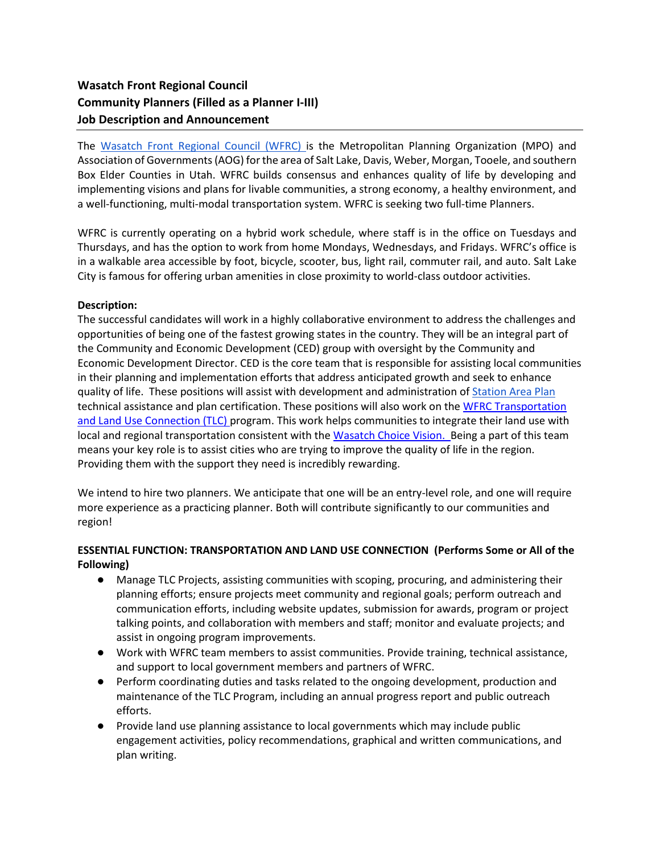# **Wasatch Front Regional Council Community Planners (Filled as a Planner I-III) Job Description and Announcement**

The [Wasatch Front Regional Council \(WFRC\) i](https://wfrc.org/)s the Metropolitan Planning Organization (MPO) and Association of Governments (AOG) for the area of Salt Lake, Davis, Weber, Morgan, Tooele, and southern Box Elder Counties in Utah. WFRC builds consensus and enhances quality of life by developing and implementing visions and plans for livable communities, a strong economy, a healthy environment, and a well-functioning, multi-modal transportation system. WFRC is seeking two full-time Planners.

WFRC is currently operating on a hybrid work schedule, where staff is in the office on Tuesdays and Thursdays, and has the option to work from home Mondays, Wednesdays, and Fridays. WFRC's office is in a walkable area accessible by foot, bicycle, scooter, bus, light rail, commuter rail, and auto. Salt Lake City is famous for offering urban amenities in close proximity to world-class outdoor activities.

#### **Description:**

The successful candidates will work in a highly collaborative environment to address the challenges and opportunities of being one of the fastest growing states in the country. They will be an integral part of the Community and Economic Development (CED) group with oversight by the Community and Economic Development Director. CED is the core team that is responsible for assisting local communities in their planning and implementation efforts that address anticipated growth and seek to enhance quality of life. These positions will assist with development and administration of [Station Area Plan](https://docs.google.com/document/d/1GOVsDpJme-y8vjB7yqTWr22ASacw_XqlqlpVkk181Tg/edit) technical assistance and plan certification. These positions will also work on the WFRC [Transportation](https://wfrc.org/programs/transportation-land-use-connection/)  [and Land Use Connection \(TLC\) program.](https://wfrc.org/programs/transportation-land-use-connection/) This work helps communities to integrate their land use with local and regional transportation consistent with the [Wasatch Choice Vision.](https://wfrc.org/vision-plans/wasatch-choice-2050/) Being a part of this team means your key role is to assist cities who are trying to improve the quality of life in the region. Providing them with the support they need is incredibly rewarding.

We intend to hire two planners. We anticipate that one will be an entry-level role, and one will require more experience as a practicing planner. Both will contribute significantly to our communities and region!

#### **ESSENTIAL FUNCTION: TRANSPORTATION AND LAND USE CONNECTION (Performs Some or All of the Following)**

- Manage TLC Projects, assisting communities with scoping, procuring, and administering their planning efforts; ensure projects meet community and regional goals; perform outreach and communication efforts, including website updates, submission for awards, program or project talking points, and collaboration with members and staff; monitor and evaluate projects; and assist in ongoing program improvements.
- Work with WFRC team members to assist communities. Provide training, technical assistance, and support to local government members and partners of WFRC.
- Perform coordinating duties and tasks related to the ongoing development, production and maintenance of the TLC Program, including an annual progress report and public outreach efforts.
- Provide land use planning assistance to local governments which may include public engagement activities, policy recommendations, graphical and written communications, and plan writing.